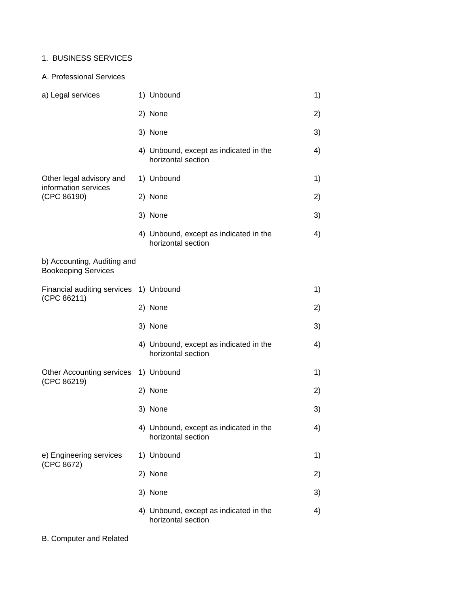## 1. BUSINESS SERVICES

#### A. Professional Services

| a) Legal services                                         | 1) Unbound                                                   | 1) |
|-----------------------------------------------------------|--------------------------------------------------------------|----|
|                                                           | 2) None                                                      | 2) |
|                                                           | 3) None                                                      | 3) |
|                                                           | 4) Unbound, except as indicated in the<br>horizontal section | 4) |
| Other legal advisory and<br>information services          | 1) Unbound                                                   | 1) |
| (CPC 86190)                                               | 2) None                                                      | 2) |
|                                                           | 3) None                                                      | 3) |
|                                                           | 4) Unbound, except as indicated in the<br>horizontal section | 4) |
| b) Accounting, Auditing and<br><b>Bookeeping Services</b> |                                                              |    |
| Financial auditing services 1) Unbound<br>(CPC 86211)     |                                                              | 1) |
|                                                           | 2) None                                                      | 2) |
|                                                           | 3) None                                                      | 3) |
|                                                           | 4) Unbound, except as indicated in the<br>horizontal section | 4) |
| Other Accounting services<br>(CPC 86219)                  | 1) Unbound                                                   | 1) |
|                                                           | 2) None                                                      | 2) |
|                                                           | 3) None                                                      | 3) |
|                                                           | 4) Unbound, except as indicated in the<br>horizontal section | 4) |
| e) Engineering services                                   | 1) Unbound                                                   | 1) |
| (CPC 8672)                                                | 2) None                                                      | 2) |
|                                                           | 3) None                                                      | 3) |
|                                                           | 4) Unbound, except as indicated in the<br>horizontal section | 4) |

B. Computer and Related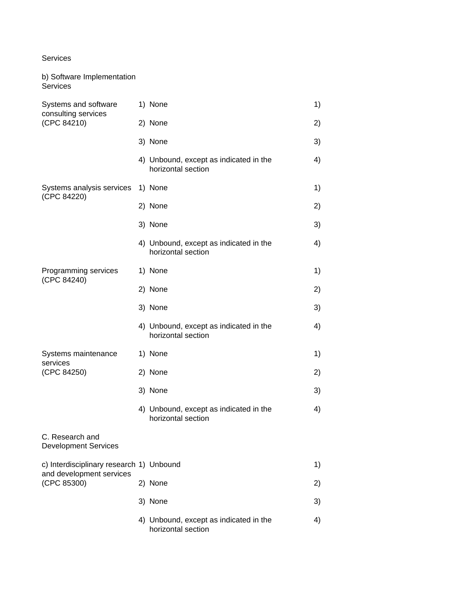#### Services

b) Software Implementation

| Services                                                   |                                                              |    |
|------------------------------------------------------------|--------------------------------------------------------------|----|
| Systems and software<br>consulting services<br>(CPC 84210) | 1) None                                                      | 1) |
|                                                            | 2) None                                                      | 2) |
|                                                            | 3) None                                                      | 3) |
|                                                            | 4) Unbound, except as indicated in the<br>horizontal section | 4) |
| Systems analysis services<br>(CPC 84220)                   | 1) None                                                      | 1) |
|                                                            | 2) None                                                      | 2) |
|                                                            | 3) None                                                      | 3) |
|                                                            | 4) Unbound, except as indicated in the<br>horizontal section | 4) |
| Programming services<br>(CPC 84240)                        | 1) None                                                      | 1) |
|                                                            | 2) None                                                      | 2) |
|                                                            | 3) None                                                      | 3) |
|                                                            | 4) Unbound, except as indicated in the<br>horizontal section | 4) |
| Systems maintenance<br>services                            | 1) None                                                      | 1) |
| (CPC 84250)                                                | 2) None                                                      | 2) |
|                                                            | 3) None                                                      | 3) |
|                                                            | 4) Unbound, except as indicated in the<br>horizontal section | 4) |
| C. Research and<br><b>Development Services</b>             |                                                              |    |
| c) Interdisciplinary research 1) Unbound                   |                                                              | 1) |
| and development services<br>(CPC 85300)                    | 2) None                                                      | 2) |
|                                                            | 3) None                                                      | 3) |
|                                                            | 4) Unbound, except as indicated in the<br>horizontal section | 4) |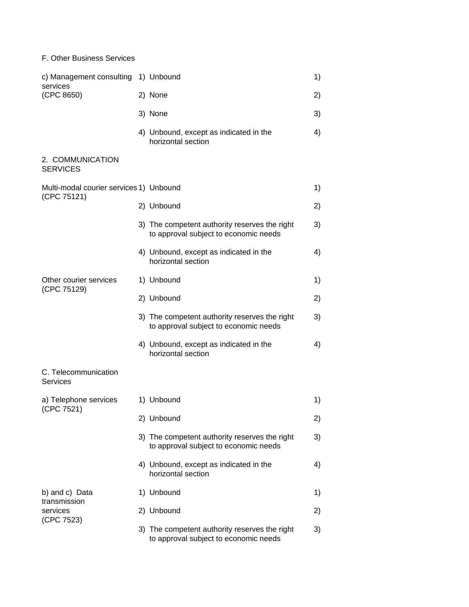### F. Other Business Services

| c) Management consulting<br>services<br>(CPC 8650) | 1) Unbound                                                                             | 1) |
|----------------------------------------------------|----------------------------------------------------------------------------------------|----|
|                                                    | 2) None                                                                                | 2) |
|                                                    | 3) None                                                                                | 3) |
|                                                    | 4) Unbound, except as indicated in the<br>horizontal section                           | 4) |
| 2. COMMUNICATION<br><b>SERVICES</b>                |                                                                                        |    |
| Multi-modal courier services 1) Unbound            |                                                                                        | 1) |
| (CPC 75121)                                        | 2) Unbound                                                                             | 2) |
|                                                    | 3) The competent authority reserves the right<br>to approval subject to economic needs | 3) |
|                                                    | 4) Unbound, except as indicated in the<br>horizontal section                           | 4) |
| Other courier services                             | 1) Unbound                                                                             | 1) |
| (CPC 75129)                                        | 2) Unbound                                                                             | 2) |
|                                                    | 3) The competent authority reserves the right<br>to approval subject to economic needs | 3) |
|                                                    | 4) Unbound, except as indicated in the<br>horizontal section                           | 4) |
| C. Telecommunication<br>Services                   |                                                                                        |    |
| a) Telephone services                              | 1) Unbound                                                                             | 1) |
| (CPC 7521)                                         | 2) Unbound                                                                             | 2) |
|                                                    | 3) The competent authority reserves the right<br>to approval subject to economic needs | 3) |
|                                                    | 4) Unbound, except as indicated in the<br>horizontal section                           | 4) |
| b) and c) Data                                     | 1) Unbound                                                                             | 1) |
| transmission<br>services                           | 2) Unbound                                                                             | 2) |
| (CPC 7523)                                         | 3) The competent authority reserves the right<br>to approval subject to economic needs | 3) |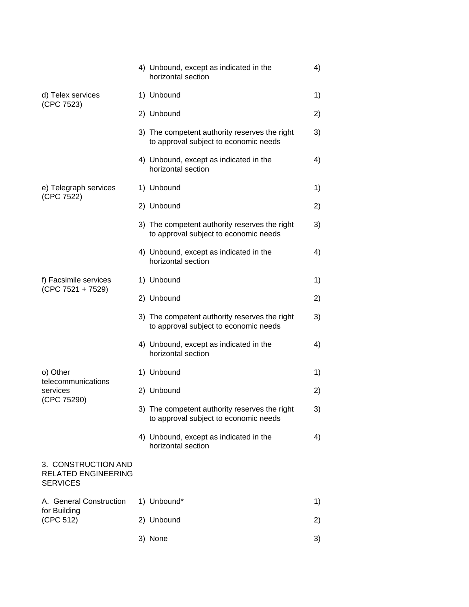|                                                                      | 4) Unbound, except as indicated in the<br>horizontal section                           | 4) |
|----------------------------------------------------------------------|----------------------------------------------------------------------------------------|----|
| d) Telex services<br>(CPC 7523)                                      | 1) Unbound                                                                             | 1) |
|                                                                      | 2) Unbound                                                                             | 2) |
|                                                                      | 3) The competent authority reserves the right<br>to approval subject to economic needs | 3) |
|                                                                      | 4) Unbound, except as indicated in the<br>horizontal section                           | 4) |
| e) Telegraph services<br>(CPC 7522)                                  | 1) Unbound                                                                             | 1) |
|                                                                      | 2) Unbound                                                                             | 2) |
|                                                                      | 3) The competent authority reserves the right<br>to approval subject to economic needs | 3) |
|                                                                      | 4) Unbound, except as indicated in the<br>horizontal section                           | 4) |
| f) Facsimile services                                                | 1) Unbound                                                                             | 1) |
| $(CPC 7521 + 7529)$                                                  | 2) Unbound                                                                             | 2) |
|                                                                      | 3) The competent authority reserves the right<br>to approval subject to economic needs | 3) |
|                                                                      | 4) Unbound, except as indicated in the<br>horizontal section                           | 4) |
| o) Other                                                             | 1) Unbound                                                                             | 1) |
| telecommunications<br>services                                       | 2) Unbound                                                                             | 2) |
| (CPC 75290)                                                          | 3) The competent authority reserves the right<br>to approval subject to economic needs | 3) |
|                                                                      | 4) Unbound, except as indicated in the<br>horizontal section                           | 4) |
| 3. CONSTRUCTION AND<br><b>RELATED ENGINEERING</b><br><b>SERVICES</b> |                                                                                        |    |
| A. General Construction                                              | 1) Unbound*                                                                            | 1) |
| for Building<br>(CPC 512)                                            | 2) Unbound                                                                             | 2) |
|                                                                      | 3) None                                                                                | 3) |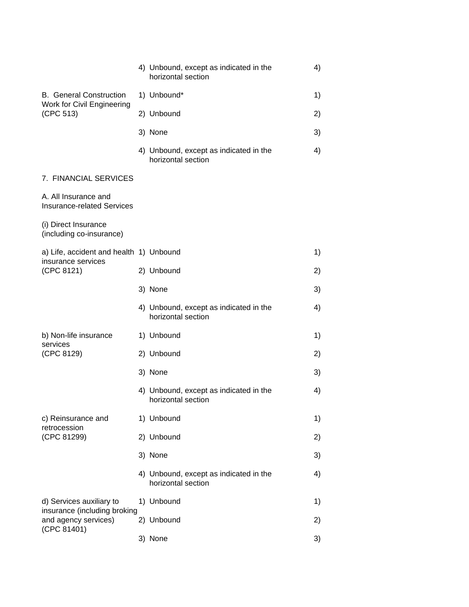|                                                                     | 4) Unbound, except as indicated in the<br>horizontal section |  | 4) |
|---------------------------------------------------------------------|--------------------------------------------------------------|--|----|
| <b>B.</b> General Construction                                      | 1) Unbound*                                                  |  | 1) |
| Work for Civil Engineering<br>(CPC 513)                             | 2) Unbound                                                   |  | 2) |
|                                                                     | 3) None                                                      |  | 3) |
|                                                                     | 4) Unbound, except as indicated in the<br>horizontal section |  | 4) |
| 7. FINANCIAL SERVICES                                               |                                                              |  |    |
| A. All Insurance and<br><b>Insurance-related Services</b>           |                                                              |  |    |
| (i) Direct Insurance<br>(including co-insurance)                    |                                                              |  |    |
| a) Life, accident and health 1) Unbound<br>insurance services       |                                                              |  | 1) |
| (CPC 8121)                                                          | 2) Unbound                                                   |  | 2) |
|                                                                     | 3) None                                                      |  | 3) |
|                                                                     | 4) Unbound, except as indicated in the<br>horizontal section |  | 4) |
| b) Non-life insurance<br>services                                   | 1) Unbound                                                   |  | 1) |
| (CPC 8129)                                                          | 2) Unbound                                                   |  | 2) |
|                                                                     | 3) None                                                      |  | 3) |
|                                                                     | 4) Unbound, except as indicated in the<br>horizontal section |  | 4) |
| c) Reinsurance and<br>retrocession                                  | 1) Unbound                                                   |  | 1) |
| (CPC 81299)                                                         | 2) Unbound                                                   |  | 2) |
|                                                                     | 3) None                                                      |  | 3) |
|                                                                     | 4) Unbound, except as indicated in the<br>horizontal section |  | 4) |
| d) Services auxiliary to                                            | 1) Unbound                                                   |  | 1) |
| insurance (including broking<br>and agency services)<br>(CPC 81401) | 2) Unbound                                                   |  | 2) |
|                                                                     | 3) None                                                      |  | 3) |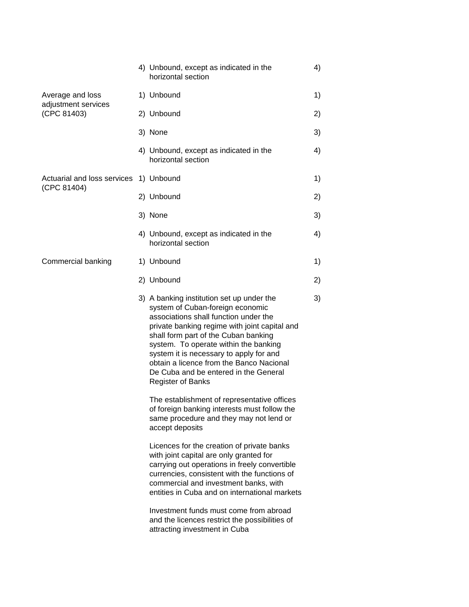| Average and loss<br>1) Unbound<br>adjustment services<br>(CPC 81403)<br>2) Unbound                                                                                                                                                                                                                                                                                                                                   | 1)<br>2)<br>3)<br>4) |
|----------------------------------------------------------------------------------------------------------------------------------------------------------------------------------------------------------------------------------------------------------------------------------------------------------------------------------------------------------------------------------------------------------------------|----------------------|
|                                                                                                                                                                                                                                                                                                                                                                                                                      |                      |
|                                                                                                                                                                                                                                                                                                                                                                                                                      |                      |
| 3) None                                                                                                                                                                                                                                                                                                                                                                                                              |                      |
| 4) Unbound, except as indicated in the<br>horizontal section                                                                                                                                                                                                                                                                                                                                                         |                      |
| Actuarial and loss services<br>1) Unbound<br>(CPC 81404)                                                                                                                                                                                                                                                                                                                                                             | 1)                   |
| 2) Unbound                                                                                                                                                                                                                                                                                                                                                                                                           | 2)                   |
| 3) None                                                                                                                                                                                                                                                                                                                                                                                                              | 3)                   |
| 4) Unbound, except as indicated in the<br>horizontal section                                                                                                                                                                                                                                                                                                                                                         | 4)                   |
| Commercial banking<br>1) Unbound                                                                                                                                                                                                                                                                                                                                                                                     | 1)                   |
| 2) Unbound                                                                                                                                                                                                                                                                                                                                                                                                           | 2)                   |
| 3) A banking institution set up under the<br>system of Cuban-foreign economic<br>associations shall function under the<br>private banking regime with joint capital and<br>shall form part of the Cuban banking<br>system. To operate within the banking<br>system it is necessary to apply for and<br>obtain a licence from the Banco Nacional<br>De Cuba and be entered in the General<br><b>Register of Banks</b> | 3)                   |
| The establishment of representative offices<br>of foreign banking interests must follow the<br>same procedure and they may not lend or<br>accept deposits                                                                                                                                                                                                                                                            |                      |
| Licences for the creation of private banks<br>with joint capital are only granted for<br>carrying out operations in freely convertible<br>currencies, consistent with the functions of<br>commercial and investment banks, with<br>entities in Cuba and on international markets<br>Investment funds must come from abroad                                                                                           |                      |
| and the licences restrict the possibilities of<br>attracting investment in Cuba                                                                                                                                                                                                                                                                                                                                      |                      |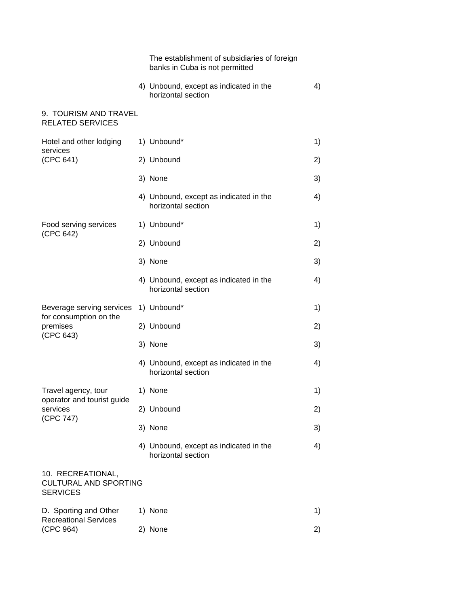|                                                                              | The establishment of subsidiaries of foreign<br>banks in Cuba is not permitted |    |
|------------------------------------------------------------------------------|--------------------------------------------------------------------------------|----|
|                                                                              | 4) Unbound, except as indicated in the<br>horizontal section                   | 4) |
| 9. TOURISM AND TRAVEL<br><b>RELATED SERVICES</b>                             |                                                                                |    |
| Hotel and other lodging<br>services                                          | 1) Unbound*                                                                    | 1) |
| (CPC 641)                                                                    | 2) Unbound                                                                     | 2) |
|                                                                              | 3) None                                                                        | 3) |
|                                                                              | 4) Unbound, except as indicated in the<br>horizontal section                   | 4) |
| Food serving services<br>(CPC 642)                                           | 1) Unbound*                                                                    | 1) |
|                                                                              | 2) Unbound                                                                     | 2) |
|                                                                              | 3) None                                                                        | 3) |
|                                                                              | 4) Unbound, except as indicated in the<br>horizontal section                   | 4) |
| Beverage serving services<br>for consumption on the<br>premises<br>(CPC 643) | 1) Unbound*                                                                    | 1) |
|                                                                              | 2) Unbound                                                                     | 2) |
|                                                                              | 3) None                                                                        | 3) |
|                                                                              | 4) Unbound, except as indicated in the<br>horizontal section                   | 4) |
| Travel agency, tour<br>operator and tourist guide<br>services<br>(CPC 747)   | 1) None                                                                        | 1) |
|                                                                              | 2) Unbound                                                                     | 2) |
|                                                                              | 3) None                                                                        | 3) |
|                                                                              | 4) Unbound, except as indicated in the<br>horizontal section                   | 4) |
| 10. RECREATIONAL,<br><b>CULTURAL AND SPORTING</b><br><b>SERVICES</b>         |                                                                                |    |
| D. Sporting and Other<br><b>Recreational Services</b><br>(CPC 964)           | 1) None                                                                        | 1) |
|                                                                              | 2) None                                                                        | 2) |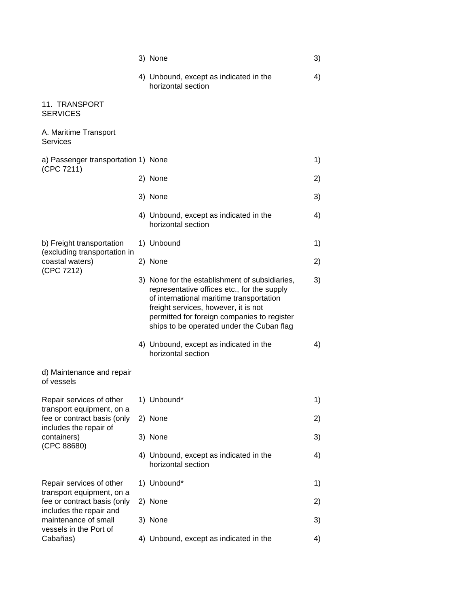|                                                                                       | 3) None                                                                                                                                                                                                                                                                       | 3) |
|---------------------------------------------------------------------------------------|-------------------------------------------------------------------------------------------------------------------------------------------------------------------------------------------------------------------------------------------------------------------------------|----|
|                                                                                       | 4) Unbound, except as indicated in the<br>horizontal section                                                                                                                                                                                                                  | 4) |
| 11. TRANSPORT<br><b>SERVICES</b>                                                      |                                                                                                                                                                                                                                                                               |    |
| A. Maritime Transport<br><b>Services</b>                                              |                                                                                                                                                                                                                                                                               |    |
| a) Passenger transportation 1) None<br>(CPC 7211)                                     |                                                                                                                                                                                                                                                                               | 1) |
|                                                                                       | 2) None                                                                                                                                                                                                                                                                       | 2) |
|                                                                                       | 3) None                                                                                                                                                                                                                                                                       | 3) |
|                                                                                       | 4) Unbound, except as indicated in the<br>horizontal section                                                                                                                                                                                                                  | 4) |
| b) Freight transportation<br>(excluding transportation in                             | 1) Unbound                                                                                                                                                                                                                                                                    | 1) |
| coastal waters)                                                                       | 2) None                                                                                                                                                                                                                                                                       | 2) |
| (CPC 7212)                                                                            | 3) None for the establishment of subsidiaries,<br>representative offices etc., for the supply<br>of international maritime transportation<br>freight services, however, it is not<br>permitted for foreign companies to register<br>ships to be operated under the Cuban flag | 3) |
|                                                                                       | 4) Unbound, except as indicated in the<br>horizontal section                                                                                                                                                                                                                  | 4) |
| d) Maintenance and repair<br>of vessels                                               |                                                                                                                                                                                                                                                                               |    |
| Repair services of other<br>transport equipment, on a                                 | 1) Unbound*                                                                                                                                                                                                                                                                   | 1) |
| fee or contract basis (only                                                           | 2) None                                                                                                                                                                                                                                                                       | 2) |
| includes the repair of<br>containers)                                                 | 3) None                                                                                                                                                                                                                                                                       | 3) |
| (CPC 88680)                                                                           | 4) Unbound, except as indicated in the<br>horizontal section                                                                                                                                                                                                                  | 4) |
| Repair services of other                                                              | 1) Unbound*                                                                                                                                                                                                                                                                   | 1) |
| transport equipment, on a<br>fee or contract basis (only                              | 2) None                                                                                                                                                                                                                                                                       | 2) |
| includes the repair and<br>maintenance of small<br>vessels in the Port of<br>Cabañas) | 3) None                                                                                                                                                                                                                                                                       | 3) |
|                                                                                       | 4) Unbound, except as indicated in the                                                                                                                                                                                                                                        | 4) |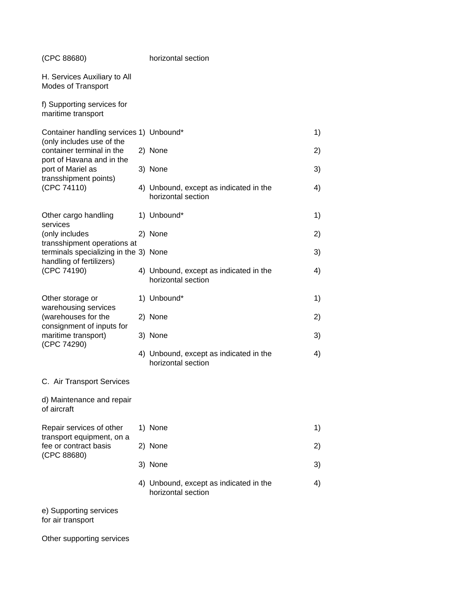| (CPC 88680)                                                          |  | horizontal section                                           |    |
|----------------------------------------------------------------------|--|--------------------------------------------------------------|----|
| H. Services Auxiliary to All<br>Modes of Transport                   |  |                                                              |    |
| f) Supporting services for<br>maritime transport                     |  |                                                              |    |
| Container handling services 1) Unbound*                              |  |                                                              | 1) |
| (only includes use of the<br>container terminal in the               |  | 2) None                                                      | 2) |
| port of Havana and in the<br>port of Mariel as                       |  | 3) None                                                      | 3) |
| transshipment points)<br>(CPC 74110)                                 |  | 4) Unbound, except as indicated in the<br>horizontal section | 4) |
| Other cargo handling                                                 |  | 1) Unbound*                                                  | 1) |
| services<br>(only includes                                           |  | 2) None                                                      | 2) |
| transshipment operations at<br>terminals specializing in the 3) None |  |                                                              | 3) |
| handling of fertilizers)<br>(CPC 74190)                              |  | 4) Unbound, except as indicated in the<br>horizontal section | 4) |
| Other storage or                                                     |  | 1) Unbound*                                                  | 1) |
| warehousing services<br>(warehouses for the                          |  | 2) None                                                      | 2) |
| consignment of inputs for<br>maritime transport)                     |  | 3) None                                                      | 3) |
| (CPC 74290)                                                          |  | 4) Unbound, except as indicated in the<br>horizontal section | 4) |
| C. Air Transport Services                                            |  |                                                              |    |
| d) Maintenance and repair<br>of aircraft                             |  |                                                              |    |
| Repair services of other                                             |  | 1) None                                                      | 1) |
| transport equipment, on a<br>fee or contract basis                   |  | 2) None                                                      | 2) |
| (CPC 88680)                                                          |  | 3) None                                                      | 3) |
|                                                                      |  | 4) Unbound, except as indicated in the<br>horizontal section | 4) |
| e) Supporting services<br>for air transport                          |  |                                                              |    |
| Other supporting services                                            |  |                                                              |    |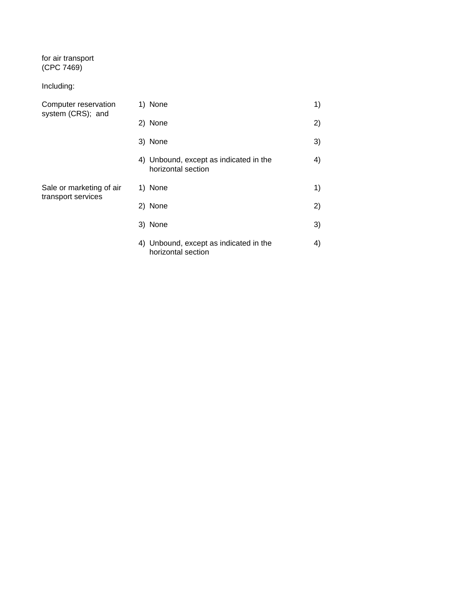## for air transport (CPC 7469)

# Including:

| Computer reservation<br>system (CRS); and      | 1) None                                                      | 1) |
|------------------------------------------------|--------------------------------------------------------------|----|
|                                                | 2) None                                                      | 2) |
|                                                | 3) None                                                      | 3) |
|                                                | 4) Unbound, except as indicated in the<br>horizontal section | 4) |
| Sale or marketing of air<br>transport services | 1) None                                                      | 1) |
|                                                | 2) None                                                      | 2) |
|                                                | 3) None                                                      | 3) |
|                                                | 4) Unbound, except as indicated in the<br>horizontal section | 4) |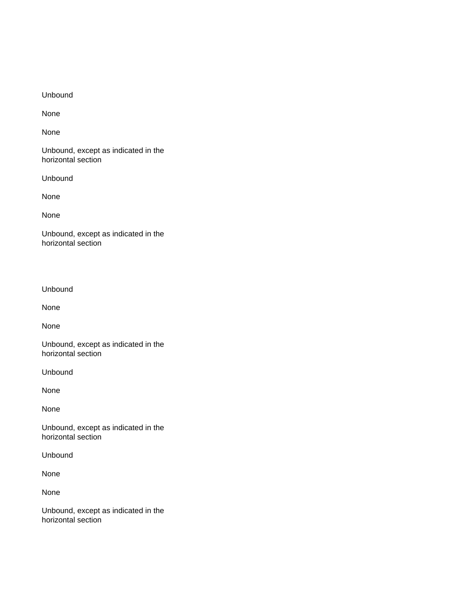#### Unbound

None

None

Unbound, except as indicated in the horizontal section

Unbound

None

None

Unbound, except as indicated in the horizontal section

Unbound

None

None

Unbound, except as indicated in the horizontal section

Unbound

None

None

Unbound, except as indicated in the horizontal section

Unbound

None

None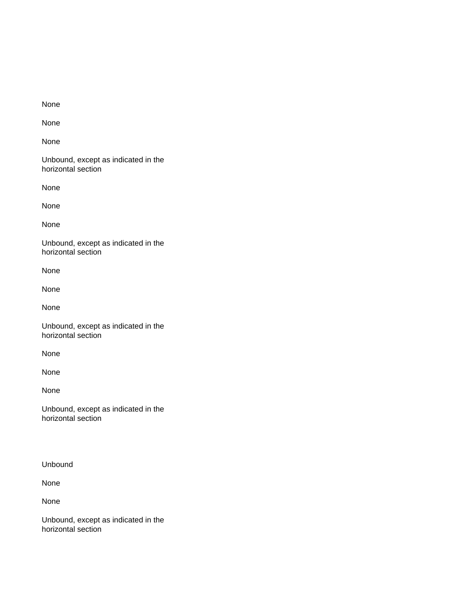None

None

None

Unbound, except as indicated in the horizontal section

None

None

None

Unbound, except as indicated in the horizontal section

None

None

None

Unbound, except as indicated in the horizontal section

None

None

None

Unbound, except as indicated in the horizontal section

Unbound

None

None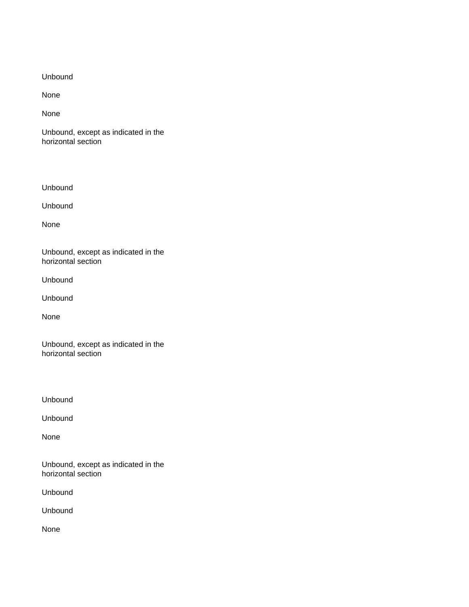Unbound

None

None

Unbound, except as indicated in the horizontal section

Unbound

Unbound

None

Unbound, except as indicated in the horizontal section

Unbound

Unbound

None

Unbound, except as indicated in the horizontal section

Unbound

Unbound

None

Unbound, except as indicated in the horizontal section

Unbound

Unbound

None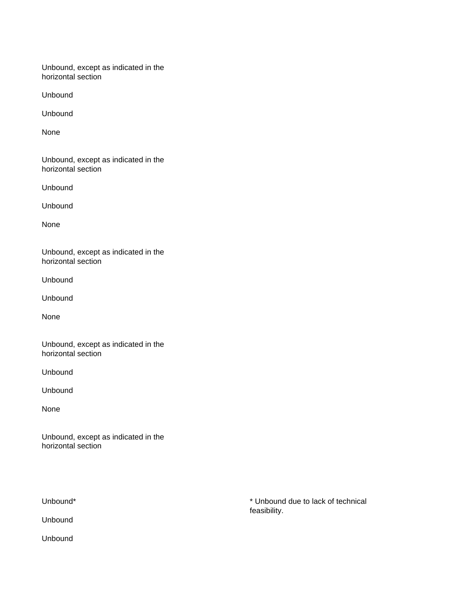Unbound

Unbound

None

Unbound, except as indicated in the horizontal section

Unbound

Unbound

None

Unbound, except as indicated in the horizontal section

Unbound

Unbound

None

Unbound, except as indicated in the horizontal section

Unbound

Unbound

None

Unbound, except as indicated in the horizontal section

Unbound

Unbound

Unbound\* **\*** Unbound due to lack of technical feasibility.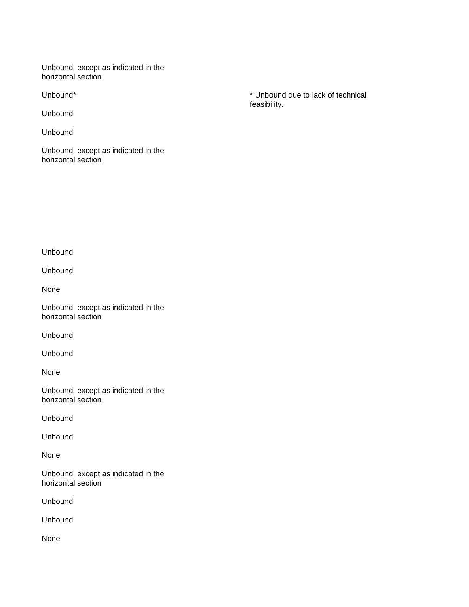Unbound

Unbound

Unbound, except as indicated in the horizontal section

Unbound\* **\*** Unbound due to lack of technical feasibility.

Unbound

Unbound

None

Unbound, except as indicated in the horizontal section

Unbound

Unbound

None

Unbound, except as indicated in the horizontal section

Unbound

Unbound

None

Unbound, except as indicated in the horizontal section

Unbound

Unbound

None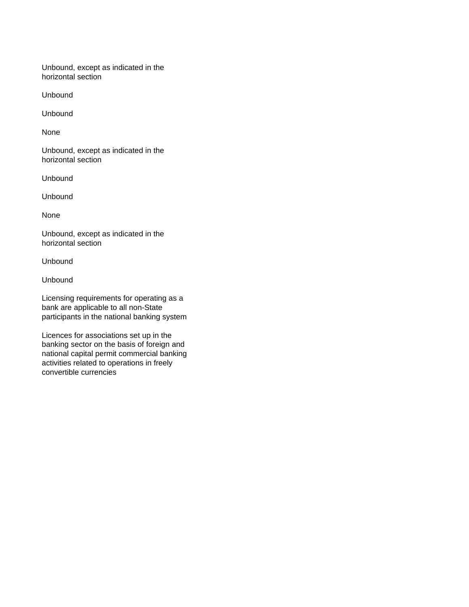Unbound

Unbound

None

Unbound, except as indicated in the horizontal section

Unbound

Unbound

None

Unbound, except as indicated in the horizontal section

Unbound

Unbound

Licensing requirements for operating as a bank are applicable to all non-State participants in the national banking system

Licences for associations set up in the banking sector on the basis of foreign and national capital permit commercial banking activities related to operations in freely convertible currencies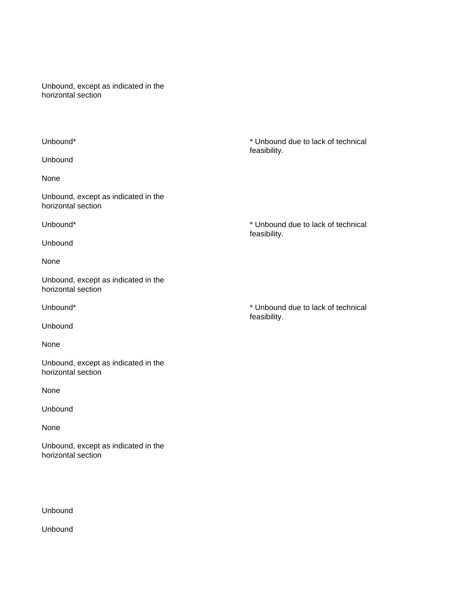Unbound

None

Unbound, except as indicated in the horizontal section

Unbound

None

Unbound, except as indicated in the horizontal section

Unbound

None

Unbound, except as indicated in the horizontal section

None

Unbound

None

Unbound, except as indicated in the horizontal section

Unbound

Unbound

Unbound\* **\*** Unbound due to lack of technical feasibility.

Unbound\* **\*** Unbound due to lack of technical feasibility.

Unbound\* **\*** Unbound due to lack of technical feasibility.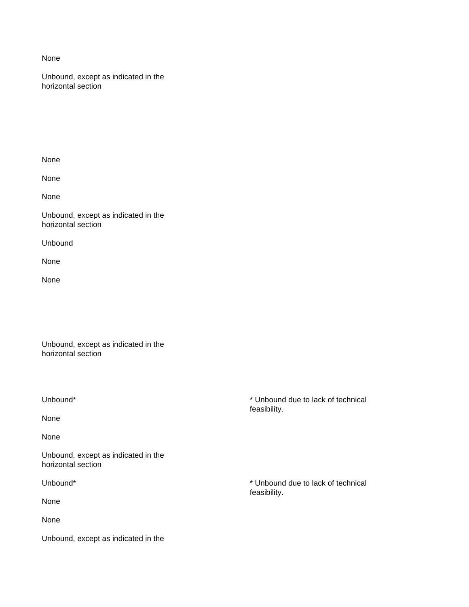None

Unbound, except as indicated in the horizontal section

None

None

None

Unbound, except as indicated in the horizontal section

Unbound

None

None

Unbound, except as indicated in the horizontal section

None

None

Unbound, except as indicated in the horizontal section

None

None

Unbound, except as indicated in the

Unbound\* \* Unbound due to lack of technical feasibility.

Unbound\* **\*** Unbound due to lack of technical feasibility.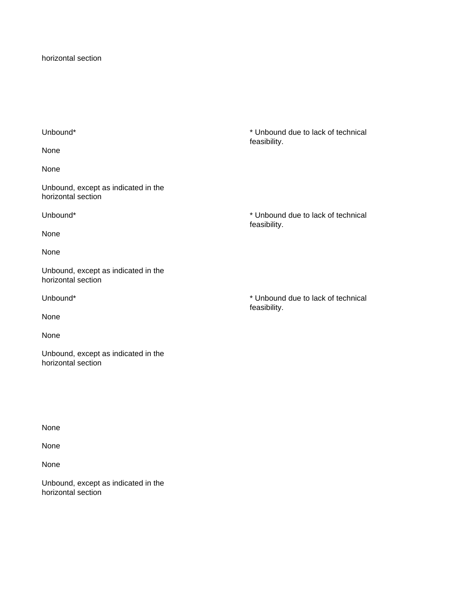horizontal section

None

None

Unbound, except as indicated in the horizontal section

Unbound\* \* Unbound due to lack of technical

None

None

Unbound, except as indicated in the horizontal section

None

None

Unbound, except as indicated in the horizontal section

Unbound\* \* Unbound due to lack of technical feasibility.

feasibility.

Unbound\* \* Unbound due to lack of technical feasibility.

None

None

None